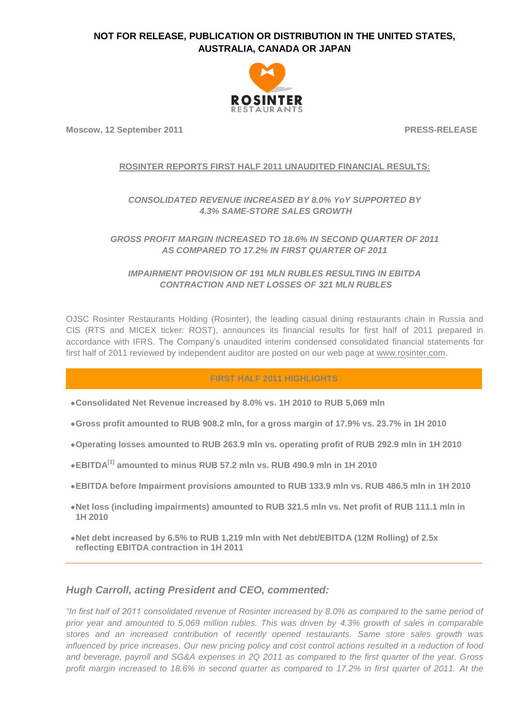

**Moscow, 12 September 2011** PRESS-RELEASE

### **ROSINTER REPORTS FIRST HALF 2011 UNAUDITED FINANCIAL RESULTS:**

# *CONSOLIDATED REVENUE INCREASED BY 8.0% YoY SUPPORTED BY 4.3% SAME-STORE SALES GROWTH*

*GROSS PROFIT MARGIN INCREASED TO 18.6% IN SECOND QUARTER OF 2011 AS COMPARED TO 17.2% IN FIRST QUARTER OF 2011*

*IMPAIRMENT PROVISION OF 191 MLN RUBLES RESULTING IN EBITDA CONTRACTION AND NET LOSSES OF 321 MLN RUBLES*

OJSC Rosinter Restaurants Holding (Rosinter), the leading casual dining restaurants chain in Russia and CIS (RTS and MICEX ticker: ROST), announces its financial results for first half of 2011 prepared in accordance with IFRS. The Company's unaudited interim condensed consolidated financial statements for first half of 2011 reviewed by independent auditor are posted on our web page at [www.rosinter.com.](http://www.rosinter.com/)

### **FIRST HALF 2011 HIGHLIGHTS**

- **Consolidated Net Revenue increased by 8.0% vs. 1H 2010 to RUB 5,069 mln**
- **Gross profit amounted to RUB 908.2 mln, for a gross margin of 17.9% vs. 23.7% in 1H 2010**
- **Operating losses amounted to RUB 263.9 mln vs. operating profit of RUB 292.9 mln in 1H 2010**
- **EBITDA[1] amounted to minus RUB 57.2 mln vs. RUB 490.9 mln in 1H 2010**
- **EBITDA before Impairment provisions amounted to RUB 133.9 mln vs. RUB 486.5 mln in 1H 2010**
- **Net loss (including impairments) amounted to RUB 321.5 mln vs. Net profit of RUB 111.1 mln in 1H 2010**
- **Net debt increased by 6.5% to RUB 1,219 mln with Net debt/EBITDA (12M Rolling) of 2.5x reflecting EBITDA contraction in 1H 2011**

## *Hugh Carroll, acting President and CEO, commented:*

*"In first half of 2011 consolidated revenue of Rosinter increased by 8.0% as compared to the same period of prior year and amounted to 5,069 million rubles. This was driven by 4.3% growth of sales in comparable stores and an increased contribution of recently opened restaurants. Same store sales growth was influenced by price increases. Our new pricing policy and cost control actions resulted in a reduction of food and beverage, payroll and SG&A expenses in 2Q 2011 as compared to the first quarter of the year. Gross profit margin increased to 18.6% in second quarter as compared to 17.2% in first quarter of 2011. At the*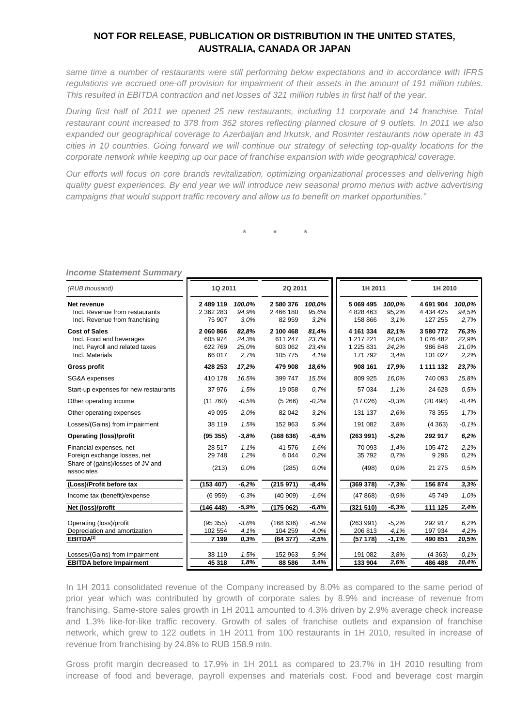*same time a number of restaurants were still performing below expectations and in accordance with IFRS regulations we accrued one-off provision for impairment of their assets in the amount of 191 million rubles. This resulted in EBITDA contraction and net losses of 321 million rubles in first half of the year.*

*During first half of 2011 we opened 25 new restaurants, including 11 corporate and 14 franchise. Total restaurant count increased to 378 from 362 stores reflecting planned closure of 9 outlets. In 2011 we also expanded our geographical coverage to Azerbaijan and Irkutsk, and Rosinter restaurants now operate in 43 cities in 10 countries. Going forward we will continue our strategy of selecting top-quality locations for the corporate network while keeping up our pace of franchise expansion with wide geographical coverage.*

*Our efforts will focus on core brands revitalization, optimizing organizational processes and delivering high quality guest experiences. By end year we will introduce new seasonal promo menus with active advertising campaigns that would support traffic recovery and allow us to benefit on market opportunities."*

*\* \* \**

| (RUB thousand)                                                                                             | 1Q 2011                                  |                                 | 2Q 2011                                    |                                 |                                                | 1H 2011                         |                                              | 1H 2010                         |  |
|------------------------------------------------------------------------------------------------------------|------------------------------------------|---------------------------------|--------------------------------------------|---------------------------------|------------------------------------------------|---------------------------------|----------------------------------------------|---------------------------------|--|
| Net revenue<br>Incl. Revenue from restaurants<br>Incl. Revenue from franchising                            | 2 489 119<br>2 3 6 2 2 8 3<br>75 907     | 100,0%<br>94,9%<br>3.0%         | 2580376<br>2 466 180<br>82 959             | 100,0%<br>95.6%<br>3,2%         | 5 069 495<br>4 828 463<br>158 866              | 100,0%<br>95,2%<br>3.1%         | 4 691 904<br>4 4 3 4 4 2 5<br>127 255        | 100,0%<br>94,5%<br>2,7%         |  |
| <b>Cost of Sales</b><br>Incl. Food and beverages<br>Incl. Payroll and related taxes<br>Incl. Materials     | 2 060 866<br>605 974<br>622769<br>66 017 | 82,8%<br>24,3%<br>25,0%<br>2.7% | 2 100 468<br>611 247<br>603 062<br>105 775 | 81,4%<br>23,7%<br>23,4%<br>4.1% | 4 161 334<br>1 217 221<br>1 225 831<br>171 792 | 82,1%<br>24.0%<br>24,2%<br>3.4% | 3 580 772<br>1 076 482<br>986 848<br>101 027 | 76,3%<br>22,9%<br>21,0%<br>2,2% |  |
| <b>Gross profit</b>                                                                                        | 428 253                                  | 17,2%                           | 479 908                                    | 18,6%                           | 908 161                                        | 17,9%                           | 1 111 132                                    | 23,7%                           |  |
| SG&A expenses                                                                                              | 410 178                                  | 16,5%                           | 399 747                                    | 15,5%                           | 809 925                                        | 16,0%                           | 740 093                                      | 15,8%                           |  |
| Start-up expenses for new restaurants                                                                      | 37 976                                   | 1.5%                            | 19 0 58                                    | 0.7%                            | 57 034                                         | 1.1%                            | 24 6 28                                      | 0.5%                            |  |
| Other operating income                                                                                     | (11760)                                  | $-0.5%$                         | (5266)                                     | $-0.2%$                         | (17026)                                        | $-0.3%$                         | (20498)                                      | $-0,4%$                         |  |
| Other operating expenses                                                                                   | 49 0 95                                  | 2.0%                            | 82 042                                     | 3,2%                            | 131 137                                        | 2.6%                            | 78 355                                       | 1,7%                            |  |
| Losses/(Gains) from impairment                                                                             | 38 119                                   | 1.5%                            | 152 963                                    | 5.9%                            | 191 082                                        | 3.8%                            | (4363)                                       | $-0.1%$                         |  |
| <b>Operating (loss)/profit</b>                                                                             | (95355)                                  | $-3,8%$                         | (168636)                                   | $-6,5%$                         | (263991)                                       | $-5,2%$                         | 292 917                                      | 6,2%                            |  |
| Financial expenses, net<br>Foreign exchange losses, net<br>Share of (gains)/losses of JV and<br>associates | 28 517<br>29 748<br>(213)                | 1.1%<br>1.2%<br>0.0%            | 41 576<br>6 0 4 4<br>(285)                 | 1.6%<br>0,2%<br>0.0%            | 70 093<br>35 792<br>(498)                      | 1,4%<br>0.7%<br>0.0%            | 105 472<br>9 2 9 6<br>21 275                 | 2,2%<br>0.2%<br>0.5%            |  |
| (Loss)/Profit before tax                                                                                   | (153 407)                                | $-6,2%$                         | (215971)                                   | $-8,4%$                         | (369 378)                                      | $-7,3%$                         | 156 874                                      | 3.3%                            |  |
| Income tax (benefit)/expense                                                                               | (6959)                                   | $-0,3%$                         | (40909)                                    | $-1.6%$                         | (47868)                                        | $-0,9%$                         | 45 749                                       | 1.0%                            |  |
| Net (loss)/profit                                                                                          | (146448)                                 | $-5,9%$                         | (175062)                                   | $-6,8%$                         | (321 510)                                      | $-6,3%$                         | 111 125                                      | 2,4%                            |  |
| Operating (loss)/profit<br>Depreciation and amortization<br><b>EBITDA[1]</b>                               | (95355)<br>102 554<br>7 1 9 9            | $-3.8%$<br>4.1%<br>0.3%         | (168636)<br>104 259<br>(64377)             | $-6.5%$<br>4.0%<br>$-2,5%$      | (263991)<br>206 813<br>(57178)                 | $-5.2%$<br>4.1%<br>$-1.1%$      | 292 917<br>197 934<br>490 851                | 6,2%<br>4,2%<br>10,5%           |  |
| Losses/(Gains) from impairment                                                                             | 38 119                                   | 1,5%                            | 152 963                                    | 5,9%                            | 191 082                                        | 3,8%                            | (4363)                                       | $-0.1%$                         |  |
| <b>EBITDA before Impairment</b>                                                                            | 45 318                                   | 1,8%                            | 88 586                                     | 3,4%                            | 133 904                                        | 2,6%                            | 486 488                                      | 10,4%                           |  |

*Income Statement Summary*

In 1H 2011 consolidated revenue of the Company increased by 8.0% as compared to the same period of prior year which was contributed by growth of corporate sales by 8.9% and increase of revenue from franchising. Same-store sales growth in 1H 2011 amounted to 4.3% driven by 2.9% average check increase and 1.3% like-for-like traffic recovery. Growth of sales of franchise outlets and expansion of franchise network, which grew to 122 outlets in 1H 2011 from 100 restaurants in 1H 2010, resulted in increase of revenue from franchising by 24.8% to RUB 158.9 mln.

Gross profit margin decreased to 17.9% in 1H 2011 as compared to 23.7% in 1H 2010 resulting from increase of food and beverage, payroll expenses and materials cost. Food and beverage cost margin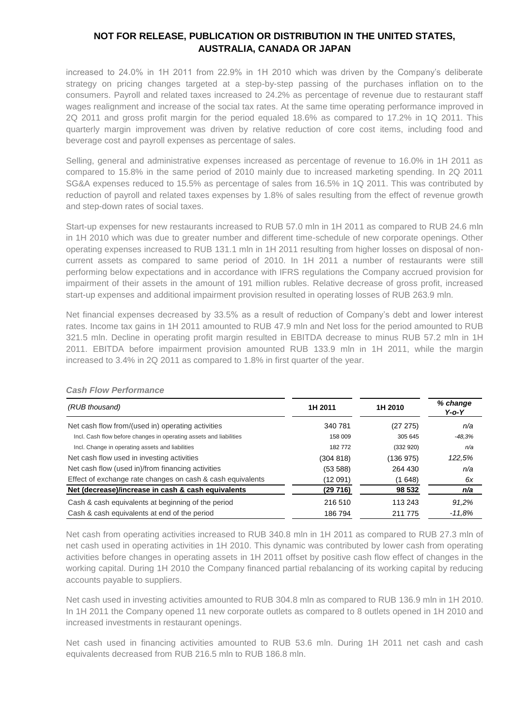increased to 24.0% in 1H 2011 from 22.9% in 1H 2010 which was driven by the Company's deliberate strategy on pricing changes targeted at a step-by-step passing of the purchases inflation on to the consumers. Payroll and related taxes increased to 24.2% as percentage of revenue due to restaurant staff wages realignment and increase of the social tax rates. At the same time operating performance improved in 2Q 2011 and gross profit margin for the period equaled 18.6% as compared to 17.2% in 1Q 2011. This quarterly margin improvement was driven by relative reduction of core cost items, including food and beverage cost and payroll expenses as percentage of sales.

Selling, general and administrative expenses increased as percentage of revenue to 16.0% in 1H 2011 as compared to 15.8% in the same period of 2010 mainly due to increased marketing spending. In 2Q 2011 SG&A expenses reduced to 15.5% as percentage of sales from 16.5% in 1Q 2011. This was contributed by reduction of payroll and related taxes expenses by 1.8% of sales resulting from the effect of revenue growth and step-down rates of social taxes.

Start-up expenses for new restaurants increased to RUB 57.0 mln in 1H 2011 as compared to RUB 24.6 mln in 1H 2010 which was due to greater number and different time-schedule of new corporate openings. Other operating expenses increased to RUB 131.1 mln in 1H 2011 resulting from higher losses on disposal of noncurrent assets as compared to same period of 2010. In 1H 2011 a number of restaurants were still performing below expectations and in accordance with IFRS regulations the Company accrued provision for impairment of their assets in the amount of 191 million rubles. Relative decrease of gross profit, increased start-up expenses and additional impairment provision resulted in operating losses of RUB 263.9 mln.

Net financial expenses decreased by 33.5% as a result of reduction of Company's debt and lower interest rates. Income tax gains in 1H 2011 amounted to RUB 47.9 mln and Net loss for the period amounted to RUB 321.5 mln. Decline in operating profit margin resulted in EBITDA decrease to minus RUB 57.2 mln in 1H 2011. EBITDA before impairment provision amounted RUB 133.9 mln in 1H 2011, while the margin increased to 3.4% in 2Q 2011 as compared to 1.8% in first quarter of the year.

| (RUB thousand)                                                     | 1H 2011   | 1H 2010   | % change<br>$Y$ -o- $Y$ |
|--------------------------------------------------------------------|-----------|-----------|-------------------------|
| Net cash flow from/(used in) operating activities                  | 340 781   | (27 275)  | n/a                     |
| Incl. Cash flow before changes in operating assets and liabilities | 158 009   | 305 645   | $-48.3%$                |
| Incl. Change in operating assets and liabilities                   | 182772    | (332920)  | n/a                     |
| Net cash flow used in investing activities                         | (304 818) | (136 975) | 122,5%                  |
| Net cash flow (used in)/from financing activities                  | (53588)   | 264 430   | n/a                     |
| Effect of exchange rate changes on cash & cash equivalents         | (12 091)  | (1648)    | 6x                      |
| Net (decrease)/increase in cash & cash equivalents                 | (29 716)  | 98 532    | n/a                     |
| Cash & cash equivalents at beginning of the period                 | 216 510   | 113 243   | 91.2%                   |
| Cash & cash equivalents at end of the period                       | 186 794   | 211 775   | $-11.8%$                |

### *Cash Flow Performance*

Net cash from operating activities increased to RUB 340.8 mln in 1H 2011 as compared to RUB 27.3 mln of net cash used in operating activities in 1H 2010. This dynamic was contributed by lower cash from operating activities before changes in operating assets in 1H 2011 offset by positive cash flow effect of changes in the working capital. During 1H 2010 the Company financed partial rebalancing of its working capital by reducing accounts payable to suppliers.

Net cash used in investing activities amounted to RUB 304.8 mln as compared to RUB 136.9 mln in 1H 2010. In 1H 2011 the Company opened 11 new corporate outlets as compared to 8 outlets opened in 1H 2010 and increased investments in restaurant openings.

Net cash used in financing activities amounted to RUB 53.6 mln. During 1H 2011 net cash and cash equivalents decreased from RUB 216.5 mln to RUB 186.8 mln.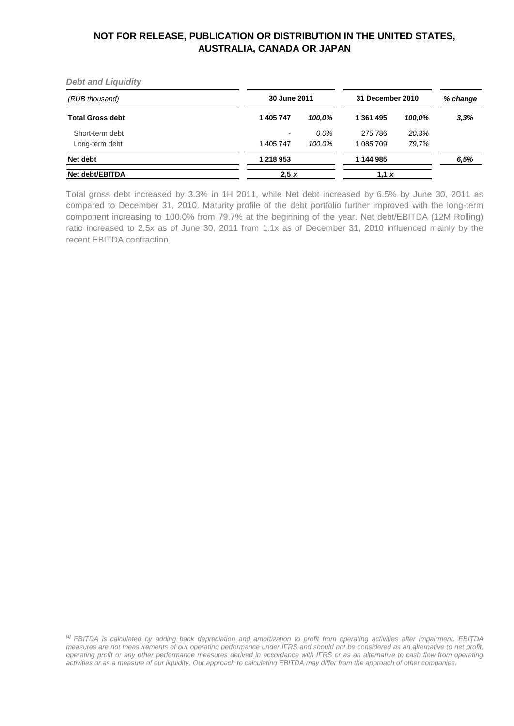*Debt and Liquidity*

| (RUB thousand)          | 30 June 2011 |         | 31 December 2010 |        | % change |
|-------------------------|--------------|---------|------------------|--------|----------|
| <b>Total Gross debt</b> | 1 405 747    | 100,0%  | 1 361 495        | 100.0% | 3,3%     |
| Short-term debt         | ٠            | $0.0\%$ | 275 786          | 20.3%  |          |
| Long-term debt          | 1 405 747    | 100.0%  | 1 085 709        | 79,7%  |          |
| Net debt                | 1 218 953    |         | 1 144 985        |        | 6,5%     |
| Net debt/EBITDA         | 2.5 x        |         | 1,1 $x$          |        |          |

Total gross debt increased by 3.3% in 1H 2011, while Net debt increased by 6.5% by June 30, 2011 as compared to December 31, 2010. Maturity profile of the debt portfolio further improved with the long-term component increasing to 100.0% from 79.7% at the beginning of the year. Net debt/EBITDA (12M Rolling) ratio increased to 2.5x as of June 30, 2011 from 1.1x as of December 31, 2010 influenced mainly by the recent EBITDA contraction.

*[1] EBITDA is calculated by adding back depreciation and amortization to profit from operating activities after impairment. EBITDA measures are not measurements of our operating performance under IFRS and should not be considered as an alternative to net profit, operating profit or any other performance measures derived in accordance with IFRS or as an alternative to cash flow from operating activities or as a measure of our liquidity. Our approach to calculating EBITDA may differ from the approach of other companies.*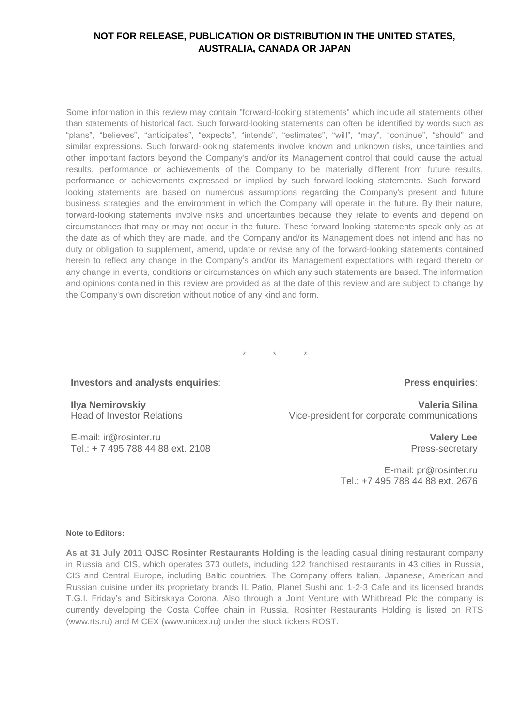Some information in this review may contain "forward-looking statements" which include all statements other than statements of historical fact. Such forward-looking statements can often be identified by words such as "plans", "believes", "anticipates", "expects", "intends", "estimates", "will", "may", "continue", "should" and similar expressions. Such forward-looking statements involve known and unknown risks, uncertainties and other important factors beyond the Company's and/or its Management control that could cause the actual results, performance or achievements of the Company to be materially different from future results, performance or achievements expressed or implied by such forward-looking statements. Such forwardlooking statements are based on numerous assumptions regarding the Company's present and future business strategies and the environment in which the Company will operate in the future. By their nature, forward-looking statements involve risks and uncertainties because they relate to events and depend on circumstances that may or may not occur in the future. These forward-looking statements speak only as at the date as of which they are made, and the Company and/or its Management does not intend and has no duty or obligation to supplement, amend, update or revise any of the forward-looking statements contained herein to reflect any change in the Company's and/or its Management expectations with regard thereto or any change in events, conditions or circumstances on which any such statements are based. The information and opinions contained in this review are provided as at the date of this review and are subject to change by the Company's own discretion without notice of any kind and form.

\* \* \*

### **Investors and analysts enquiries**:

### **Press enquiries**:

**Ilya Nemirovskiy** Head of Investor Relations

E-mail: [ir@rosinter.ru](mailto:ir@rosinter.ru) Tel.: + 7 495 788 44 88 ext. 2108

**Valeria Silina** Vice-president for corporate communications

> **Valery Lee** Press-secretary

E-mail: [pr@rosinter.ru](mailto:pr@rosinter.ru) Tel.: +7 495 788 44 88 ext. 2676

#### **Note to Editors:**

**As at 31 July 2011 OJSC Rosinter Restaurants Holding** is the leading casual dining restaurant company in Russia and CIS, which operates 373 outlets, including 122 franchised restaurants in 43 cities in Russia, CIS and Central Europe, including Baltic countries. The Company offers Italian, Japanese, American and Russian cuisine under its proprietary brands IL Patio, Planet Sushi and 1-2-3 Cafe and its licensed brands T.G.I. Friday's and Sibirskaya Corona. Also through a Joint Venture with Whitbread Plc the company is currently developing the Costa Coffee chain in Russia. Rosinter Restaurants Holding is listed on RTS [\(www.rts.ru\)](http://www.rts.ru/) and MICEX [\(www.micex.ru\)](http://www.micex.ru/) under the stock tickers ROST.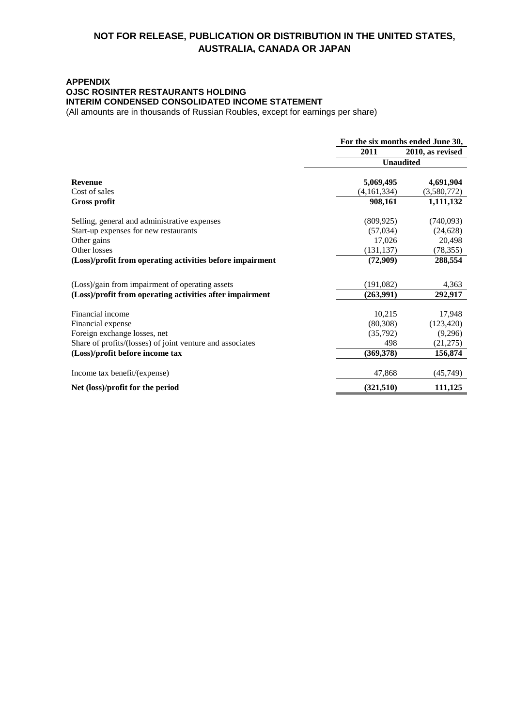### **APPENDIX OJSC ROSINTER RESTAURANTS HOLDING INTERIM CONDENSED CONSOLIDATED INCOME STATEMENT**

(All amounts are in thousands of Russian Roubles, except for earnings per share)

|                                                           | For the six months ended June 30, |                  |  |
|-----------------------------------------------------------|-----------------------------------|------------------|--|
|                                                           | 2011                              | 2010, as revised |  |
|                                                           | <b>Unaudited</b>                  |                  |  |
| <b>Revenue</b>                                            | 5,069,495                         | 4,691,904        |  |
| Cost of sales                                             | (4,161,334)                       | (3,580,772)      |  |
| <b>Gross profit</b>                                       | 908,161                           | 1,111,132        |  |
| Selling, general and administrative expenses              | (809, 925)                        | (740,093)        |  |
| Start-up expenses for new restaurants                     | (57,034)                          | (24, 628)        |  |
| Other gains                                               | 17,026                            | 20,498           |  |
| Other losses                                              | (131, 137)                        | (78, 355)        |  |
| (Loss)/profit from operating activities before impairment | (72,909)                          | 288,554          |  |
| (Loss)/gain from impairment of operating assets           | (191,082)                         | 4,363            |  |
| (Loss)/profit from operating activities after impairment  | (263,991)                         | 292,917          |  |
| Financial income                                          | 10,215                            | 17,948           |  |
| Financial expense                                         | (80, 308)                         | (123, 420)       |  |
| Foreign exchange losses, net                              | (35,792)                          | (9,296)          |  |
| Share of profits/(losses) of joint venture and associates | 498                               | (21,275)         |  |
| (Loss)/profit before income tax                           | (369, 378)                        | 156,874          |  |
| Income tax benefit/(expense)                              | 47,868                            | (45, 749)        |  |
| Net (loss)/profit for the period                          | (321,510)                         | 111,125          |  |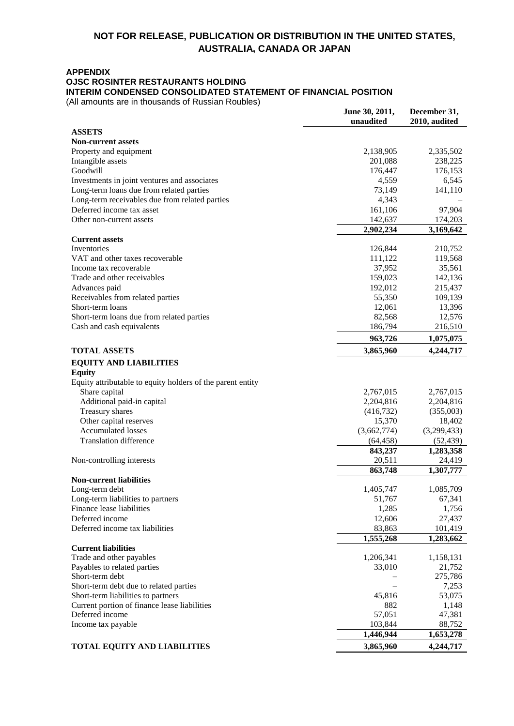### **APPENDIX**

## **OJSC ROSINTER RESTAURANTS HOLDING**

**INTERIM CONDENSED CONSOLIDATED STATEMENT OF FINANCIAL POSITION**

(All amounts are in thousands of Russian Roubles)

|                                                            | June 30, 2011,<br>unaudited | December 31,<br>2010, audited |
|------------------------------------------------------------|-----------------------------|-------------------------------|
| <b>ASSETS</b>                                              |                             |                               |
| <b>Non-current assets</b>                                  |                             |                               |
| Property and equipment                                     | 2,138,905                   | 2,335,502                     |
| Intangible assets                                          | 201,088                     | 238,225                       |
| Goodwill                                                   | 176,447                     | 176,153                       |
| Investments in joint ventures and associates               | 4,559                       | 6,545                         |
| Long-term loans due from related parties                   | 73,149                      | 141,110                       |
| Long-term receivables due from related parties             | 4,343                       |                               |
| Deferred income tax asset                                  | 161,106                     | 97,904                        |
| Other non-current assets                                   | 142,637                     | 174,203                       |
|                                                            | 2,902,234                   | 3,169,642                     |
| <b>Current assets</b>                                      |                             |                               |
| Inventories                                                | 126,844                     | 210,752                       |
| VAT and other taxes recoverable                            | 111,122                     | 119,568                       |
| Income tax recoverable                                     | 37,952                      | 35,561                        |
| Trade and other receivables                                | 159,023<br>192,012          | 142,136<br>215,437            |
| Advances paid<br>Receivables from related parties          | 55,350                      | 109,139                       |
| Short-term loans                                           | 12,061                      | 13,396                        |
| Short-term loans due from related parties                  | 82,568                      | 12,576                        |
| Cash and cash equivalents                                  | 186,794                     | 216,510                       |
|                                                            | 963,726                     | 1,075,075                     |
| <b>TOTAL ASSETS</b>                                        | 3,865,960                   | 4,244,717                     |
| <b>EQUITY AND LIABILITIES</b>                              |                             |                               |
| <b>Equity</b>                                              |                             |                               |
| Equity attributable to equity holders of the parent entity |                             |                               |
| Share capital                                              | 2,767,015                   | 2,767,015                     |
| Additional paid-in capital                                 | 2,204,816                   | 2,204,816                     |
| Treasury shares                                            | (416,732)                   | (355,003)                     |
| Other capital reserves                                     | 15,370                      | 18,402                        |
| <b>Accumulated losses</b>                                  | (3,662,774)                 | (3,299,433)                   |
| <b>Translation difference</b>                              | (64, 458)                   | (52, 439)                     |
|                                                            | 843,237                     | 1,283,358                     |
| Non-controlling interests                                  | 20,511                      | 24,419                        |
|                                                            | 863,748                     | 1,307,777                     |
| <b>Non-current liabilities</b>                             |                             |                               |
| Long-term debt                                             | 1,405,747                   | 1,085,709                     |
| Long-term liabilities to partners                          | 51,767                      | 67,341                        |
| Finance lease liabilities                                  | 1,285                       | 1,756                         |
| Deferred income                                            | 12,606                      | 27,437                        |
| Deferred income tax liabilities                            | 83,863<br>1,555,268         | 101,419<br>1,283,662          |
| <b>Current liabilities</b>                                 |                             |                               |
| Trade and other payables                                   | 1,206,341                   | 1,158,131                     |
| Payables to related parties                                | 33,010                      | 21,752                        |
| Short-term debt                                            |                             | 275,786                       |
| Short-term debt due to related parties                     |                             | 7,253                         |
| Short-term liabilities to partners                         | 45,816                      | 53,075                        |
| Current portion of finance lease liabilities               | 882                         | 1,148                         |
| Deferred income                                            | 57,051                      | 47,381                        |
| Income tax payable                                         | 103,844                     | 88,752                        |
|                                                            | 1,446,944                   | 1,653,278                     |
| <b>TOTAL EQUITY AND LIABILITIES</b>                        | 3,865,960                   | 4,244,717                     |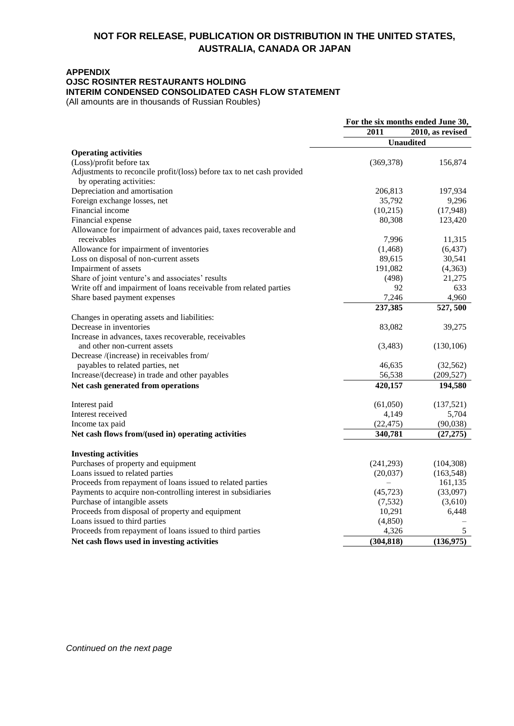### **APPENDIX**

### **OJSC ROSINTER RESTAURANTS HOLDING**

**INTERIM CONDENSED CONSOLIDATED CASH FLOW STATEMENT**

(All amounts are in thousands of Russian Roubles)

|                                                                                                    | For the six months ended June 30, |                  |
|----------------------------------------------------------------------------------------------------|-----------------------------------|------------------|
|                                                                                                    | 2011                              | 2010, as revised |
|                                                                                                    | <b>Unaudited</b>                  |                  |
| <b>Operating activities</b>                                                                        |                                   |                  |
| (Loss)/profit before tax                                                                           | (369, 378)                        | 156,874          |
| Adjustments to reconcile profit/(loss) before tax to net cash provided<br>by operating activities: |                                   |                  |
| Depreciation and amortisation                                                                      | 206,813                           | 197,934          |
| Foreign exchange losses, net                                                                       | 35,792                            | 9,296            |
| Financial income                                                                                   | (10,215)                          | (17,948)         |
| Financial expense                                                                                  | 80,308                            | 123,420          |
| Allowance for impairment of advances paid, taxes recoverable and                                   |                                   |                  |
| receivables                                                                                        | 7,996                             | 11,315           |
| Allowance for impairment of inventories                                                            | (1, 468)                          | (6, 437)         |
| Loss on disposal of non-current assets                                                             | 89,615                            | 30,541           |
| Impairment of assets                                                                               | 191,082                           | (4,363)          |
| Share of joint venture's and associates' results                                                   | (498)                             | 21,275           |
| Write off and impairment of loans receivable from related parties<br>Share based payment expenses  | 92<br>7,246                       | 633<br>4,960     |
|                                                                                                    | 237,385                           | 527,500          |
| Changes in operating assets and liabilities:                                                       |                                   |                  |
| Decrease in inventories                                                                            | 83,082                            | 39,275           |
| Increase in advances, taxes recoverable, receivables                                               |                                   |                  |
| and other non-current assets                                                                       | (3,483)                           | (130, 106)       |
| Decrease /(increase) in receivables from/                                                          |                                   |                  |
| payables to related parties, net                                                                   | 46,635                            | (32, 562)        |
| Increase/(decrease) in trade and other payables                                                    | 56,538                            | (209, 527)       |
| Net cash generated from operations                                                                 | 420,157                           | 194,580          |
| Interest paid                                                                                      | (61,050)                          | (137,521)        |
| Interest received                                                                                  | 4,149                             | 5,704            |
| Income tax paid                                                                                    | (22, 475)                         | (90,038)         |
| Net cash flows from/(used in) operating activities                                                 | 340,781                           | (27, 275)        |
|                                                                                                    |                                   |                  |
| <b>Investing activities</b>                                                                        |                                   |                  |
| Purchases of property and equipment                                                                | (241,293)                         | (104, 308)       |
| Loans issued to related parties                                                                    | (20,037)                          | (163, 548)       |
| Proceeds from repayment of loans issued to related parties                                         |                                   | 161,135          |
| Payments to acquire non-controlling interest in subsidiaries                                       | (45, 723)                         | (33,097)         |
| Purchase of intangible assets                                                                      | (7, 532)                          | (3,610)          |
| Proceeds from disposal of property and equipment                                                   | 10,291                            | 6,448            |
| Loans issued to third parties                                                                      | (4, 850)                          |                  |
| Proceeds from repayment of loans issued to third parties                                           | 4,326                             | 5                |
| Net cash flows used in investing activities                                                        | (304, 818)                        | (136, 975)       |